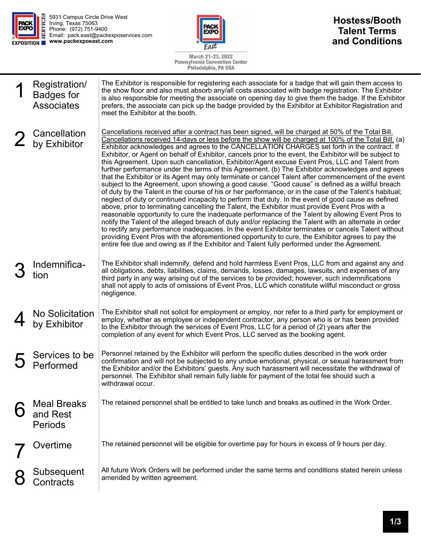



## **Hostess/Booth Talent Terms and Conditions**

March 21-23, 2022<br>Pennsylvania Convention Center<br>Philadelphia, PA USA

| Registration/<br><b>Badges for</b><br><b>Associates</b> | The Exhibitor is responsible for registering each associate for a badge that will gain them access to<br>the show floor and also must absorb any/all costs associated with badge registration. The Exhibitor<br>is also responsible for meeting the associate on opening day to give them the badge. If the Exhibitor<br>prefers, the associate can pick up the badge provided by the Exhibitor at Exhibitor Registration and<br>meet the Exhibitor at the booth.                                                                                                                                                                                                                                                                                                                                                                                                                                                                                                                                                                                                                                                                                                                                                                                                                                                                                                                                                                                                                                                                                                                                                                                                                        |  |
|---------------------------------------------------------|------------------------------------------------------------------------------------------------------------------------------------------------------------------------------------------------------------------------------------------------------------------------------------------------------------------------------------------------------------------------------------------------------------------------------------------------------------------------------------------------------------------------------------------------------------------------------------------------------------------------------------------------------------------------------------------------------------------------------------------------------------------------------------------------------------------------------------------------------------------------------------------------------------------------------------------------------------------------------------------------------------------------------------------------------------------------------------------------------------------------------------------------------------------------------------------------------------------------------------------------------------------------------------------------------------------------------------------------------------------------------------------------------------------------------------------------------------------------------------------------------------------------------------------------------------------------------------------------------------------------------------------------------------------------------------------|--|
| Cancellation<br>by Exhibitor                            | Cancellations received after a contract has been signed, will be charged at 50% of the Total Bill.<br>Cancellations received 14-days or less before the show will be charged at 100% of the Total Bill. (a)<br>Exhibitor acknowledges and agrees to the CANCELLATION CHARGES set forth in the contract. If<br>Exhibitor, or Agent on behalf of Exhibitor, cancels prior to the event, the Exhibitor will be subject to<br>this Agreement. Upon such cancellation, Exhibitor/Agent excuse Event Pros, LLC and Talent from<br>further performance under the terms of this Agreement. (b) The Exhibitor acknowledges and agrees<br>that the Exhibitor or its Agent may only terminate or cancel Talent after commencement of the event<br>subject to the Agreement, upon showing a good cause. "Good cause" is defined as a willful breach<br>of duty by the Talent in the course of his or her performance, or in the case of the Talent's habitual;<br>neglect of duty or continued incapacity to perform that duty. In the event of good cause as defined<br>above, prior to terminating cancelling the Talent, the Exhibitor must provide Event Pros with a<br>reasonable opportunity to cure the inadequate performance of the Talent by allowing Event Pros to<br>notify the Talent of the alleged breach of duty and/or replacing the Talent with an alternate in order<br>to rectify any performance inadequacies. In the event Exhibitor terminates or cancels Talent without<br>providing Event Pros with the aforementioned opportunity to cure, the Exhibitor agrees to pay the<br>entire fee due and owing as if the Exhibitor and Talent fully performed under the Agreement. |  |
| Indemnifica-<br>tion                                    | The Exhibitor shall indemnify, defend and hold harmless Event Pros, LLC from and against any and<br>all obligations, debts, liabilities, claims, demands, losses, damages, lawsuits, and expenses of any<br>third party in any way arising out of the services to be provided; however, such indemnifications<br>shall not apply to acts of omissions of Event Pros, LLC which constitute willful misconduct or gross<br>negligence.                                                                                                                                                                                                                                                                                                                                                                                                                                                                                                                                                                                                                                                                                                                                                                                                                                                                                                                                                                                                                                                                                                                                                                                                                                                     |  |
| No Solicitation<br>by Exhibitor                         | The Exhibitor shall not solicit for employment or employ, nor refer to a third party for employment or<br>employ, whether as employee or independent contractor, any person who is or has been provided<br>to the Exhibitor through the services of Event Pros, LLC for a period of (2) years after the<br>completion of any event for which Event Pros, LLC served as the booking agent.                                                                                                                                                                                                                                                                                                                                                                                                                                                                                                                                                                                                                                                                                                                                                                                                                                                                                                                                                                                                                                                                                                                                                                                                                                                                                                |  |
| Services to be<br>Performed                             | Personnel retained by the Exhibitor will perform the specific duties described in the work order<br>confirmation and will not be subjected to any undue emotional, physical, or sexual harassment from<br>the Exhibitor and/or the Exhibitors' guests. Any such harassment will necessitate the withdrawal of<br>personnel. The Exhibitor shall remain fully liable for payment of the total fee should such a<br>withdrawal occur.                                                                                                                                                                                                                                                                                                                                                                                                                                                                                                                                                                                                                                                                                                                                                                                                                                                                                                                                                                                                                                                                                                                                                                                                                                                      |  |
| <b>Meal Breaks</b><br>and Rest<br><b>Periods</b>        | The retained personnel shall be entitled to take lunch and breaks as outlined in the Work Order.                                                                                                                                                                                                                                                                                                                                                                                                                                                                                                                                                                                                                                                                                                                                                                                                                                                                                                                                                                                                                                                                                                                                                                                                                                                                                                                                                                                                                                                                                                                                                                                         |  |
| Overtime                                                | The retained personnel will be eligible for overtime pay for hours in excess of 9 hours per day.                                                                                                                                                                                                                                                                                                                                                                                                                                                                                                                                                                                                                                                                                                                                                                                                                                                                                                                                                                                                                                                                                                                                                                                                                                                                                                                                                                                                                                                                                                                                                                                         |  |
| Subsequent<br>Contracts                                 | All future Work Orders will be performed under the same terms and conditions stated herein unless<br>amended by written agreement.                                                                                                                                                                                                                                                                                                                                                                                                                                                                                                                                                                                                                                                                                                                                                                                                                                                                                                                                                                                                                                                                                                                                                                                                                                                                                                                                                                                                                                                                                                                                                       |  |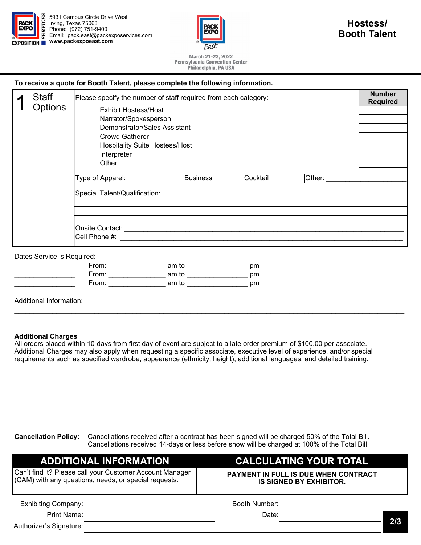

5931 Campus Circle Drive West Irving, Texas 75063 Phone: (972) 751-9400 Email: pack.east@packexposervices.com **www.packexpoeast.com** 



March 21-23, 2022 **Pennsylvania Convention Center** Philadelphia, PA USA

## **To receive a quote for Booth Talent, please complete the following information.**

|  | Staff<br>Options                        | Please specify the number of staff required from each category:                                                                                                                                                                |                 |          |                                                                                                                                                                                                                                | <b>Number</b><br><b>Required</b> |  |
|--|-----------------------------------------|--------------------------------------------------------------------------------------------------------------------------------------------------------------------------------------------------------------------------------|-----------------|----------|--------------------------------------------------------------------------------------------------------------------------------------------------------------------------------------------------------------------------------|----------------------------------|--|
|  |                                         | Exhibit Hostess/Host<br>Narrator/Spokesperson<br>Demonstrator/Sales Assistant<br><b>Crowd Gatherer</b><br><b>Hospitality Suite Hostess/Host</b><br>Interpreter<br>Other                                                        |                 |          |                                                                                                                                                                                                                                |                                  |  |
|  |                                         | Type of Apparel:                                                                                                                                                                                                               | <b>Business</b> | Cocktail | Other: the contract of the contract of the contract of the contract of the contract of the contract of the contract of the contract of the contract of the contract of the contract of the contract of the contract of the con |                                  |  |
|  |                                         | Special Talent/Qualification:<br><u> 1989 - John Stein, markin sanadi a shekara ta 1989 - An tsara tsara tsara tsara tsara tsara tsara tsara tsar</u>                                                                          |                 |          |                                                                                                                                                                                                                                |                                  |  |
|  |                                         |                                                                                                                                                                                                                                |                 |          |                                                                                                                                                                                                                                |                                  |  |
|  | Dates Service is Required:              |                                                                                                                                                                                                                                |                 |          |                                                                                                                                                                                                                                |                                  |  |
|  |                                         | From: ________________________ am to ____________________________ pm                                                                                                                                                           |                 |          |                                                                                                                                                                                                                                |                                  |  |
|  | <u> 1990 - Johann Barbara, martin a</u> | From: __________________ am to _________________                                                                                                                                                                               |                 | pm       |                                                                                                                                                                                                                                |                                  |  |
|  |                                         | From: am to and to an ambusiness and the state of the state of the state of the state of the state of the state of the state of the state of the state of the state of the state of the state of the state of the state of the |                 | pm       |                                                                                                                                                                                                                                |                                  |  |
|  |                                         |                                                                                                                                                                                                                                |                 |          |                                                                                                                                                                                                                                |                                  |  |

Additional Information: \_\_\_\_\_\_\_\_\_\_\_\_\_\_\_\_\_\_\_\_\_\_\_\_\_\_\_\_\_\_\_\_\_\_\_\_\_\_\_\_\_\_\_\_\_\_\_\_\_\_\_\_\_\_\_\_\_\_\_\_\_\_\_\_\_\_\_\_\_\_\_\_\_\_\_\_\_\_\_\_\_\_\_\_

## **Additional Charges**

All orders placed within 10-days from first day of event are subject to a late order premium of \$100.00 per associate. Additional Charges may also apply when requesting a specific associate, executive level of experience, and/or special requirements such as specified wardrobe, appearance (ethnicity, height), additional languages, and detailed training.

\_\_\_\_\_\_\_\_\_\_\_\_\_\_\_\_\_\_\_\_\_\_\_\_\_\_\_\_\_\_\_\_\_\_\_\_\_\_\_\_\_\_\_\_\_\_\_\_\_\_\_\_\_\_\_\_\_\_\_\_\_\_\_\_\_\_\_\_\_\_\_\_\_\_\_\_\_\_\_\_\_\_\_\_\_\_\_\_\_\_\_\_\_\_\_\_\_\_\_\_\_\_

**Cancellation Policy:** Cancellations received after a contract has been signed will be charged 50% of the Total Bill. Cancellations received 14-days or less before show will be charged at 100% of the Total Bill.

| <b>ADDITIONAL INFORMATION</b>                                                                                     | <b>CALCULATING YOUR TOTAL</b>                                          |     |  |
|-------------------------------------------------------------------------------------------------------------------|------------------------------------------------------------------------|-----|--|
| Can't find it? Please call your Customer Account Manager<br>(CAM) with any questions, needs, or special requests. | PAYMENT IN FULL IS DUE WHEN CONTRACT<br><b>IS SIGNED BY EXHIBITOR.</b> |     |  |
| <b>Exhibiting Company:</b>                                                                                        | Booth Number:                                                          |     |  |
| Print Name:                                                                                                       | Date:                                                                  |     |  |
| Authorizer's Signature:                                                                                           |                                                                        | 2/3 |  |